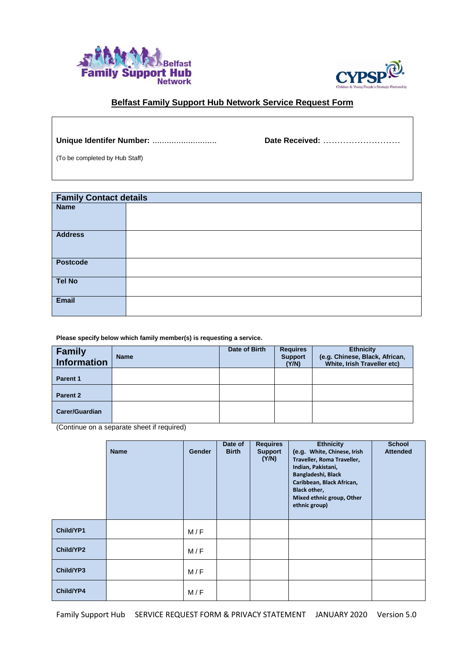



# **Belfast Family Support Hub Network Service Request Form**

**Unique Identifer Number:** ........................... **Date Received:** ………………………

(To be completed by Hub Staff)

| <b>Family Contact details</b> |  |  |  |
|-------------------------------|--|--|--|
| <b>Name</b>                   |  |  |  |
|                               |  |  |  |
| <b>Address</b>                |  |  |  |
| <b>Postcode</b>               |  |  |  |
| <b>Tel No</b>                 |  |  |  |
| Email                         |  |  |  |

**Please specify below which family member(s) is requesting a service.**

| <b>Family</b><br><b>Information</b> | <b>Name</b> | Date of Birth | <b>Requires</b><br><b>Support</b><br>(Y/N) | <b>Ethnicity</b><br>(e.g. Chinese, Black, African,<br>White, Irish Traveller etc) |
|-------------------------------------|-------------|---------------|--------------------------------------------|-----------------------------------------------------------------------------------|
| Parent 1                            |             |               |                                            |                                                                                   |
| Parent 2                            |             |               |                                            |                                                                                   |
| <b>Carer/Guardian</b>               |             |               |                                            |                                                                                   |

(Continue on a separate sheet if required)

|           | <b>Name</b> | <b>Gender</b> | Date of<br><b>Birth</b> | <b>Requires</b><br><b>Support</b><br>(Y/N) | <b>Ethnicity</b><br>(e.g. White, Chinese, Irish<br>Traveller, Roma Traveller,<br>Indian, Pakistani,<br>Bangladeshi, Black<br>Caribbean, Black African,<br>Black other,<br>Mixed ethnic group, Other<br>ethnic group) | <b>School</b><br><b>Attended</b> |
|-----------|-------------|---------------|-------------------------|--------------------------------------------|----------------------------------------------------------------------------------------------------------------------------------------------------------------------------------------------------------------------|----------------------------------|
| Child/YP1 |             | M/F           |                         |                                            |                                                                                                                                                                                                                      |                                  |
| Child/YP2 |             | M/F           |                         |                                            |                                                                                                                                                                                                                      |                                  |
| Child/YP3 |             | M/F           |                         |                                            |                                                                                                                                                                                                                      |                                  |
| Child/YP4 |             | M/F           |                         |                                            |                                                                                                                                                                                                                      |                                  |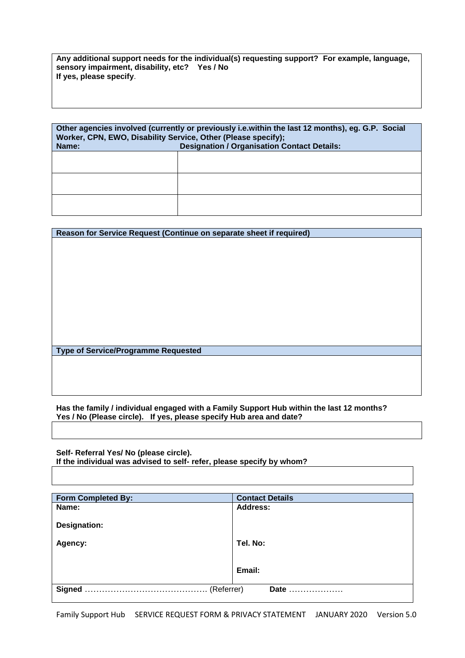**Any additional support needs for the individual(s) requesting support? For example, language, sensory impairment, disability, etc? Yes / No If yes, please specify**.

| Other agencies involved (currently or previously i.e.within the last 12 months), eg. G.P. Social<br>Worker, CPN, EWO, Disability Service, Other (Please specify);<br><b>Designation / Organisation Contact Details:</b><br>Name: |  |  |  |
|----------------------------------------------------------------------------------------------------------------------------------------------------------------------------------------------------------------------------------|--|--|--|
|                                                                                                                                                                                                                                  |  |  |  |
|                                                                                                                                                                                                                                  |  |  |  |
|                                                                                                                                                                                                                                  |  |  |  |

| Reason for Service Request (Continue on separate sheet if required) |  |
|---------------------------------------------------------------------|--|
|                                                                     |  |
|                                                                     |  |
|                                                                     |  |
|                                                                     |  |
|                                                                     |  |
|                                                                     |  |
|                                                                     |  |
|                                                                     |  |
|                                                                     |  |
|                                                                     |  |
|                                                                     |  |
|                                                                     |  |
| <b>Type of Service/Programme Requested</b>                          |  |
|                                                                     |  |
|                                                                     |  |
|                                                                     |  |

**Has the family / individual engaged with a Family Support Hub within the last 12 months? Yes / No (Please circle). If yes, please specify Hub area and date?** 

**Self- Referral Yes/ No (please circle). If the individual was advised to self- refer, please specify by whom?**

| <b>Form Completed By:</b>   | <b>Contact Details</b> |
|-----------------------------|------------------------|
| Name:                       | <b>Address:</b>        |
| <b>Designation:</b>         |                        |
| Agency:                     | Tel. No:               |
|                             | Email:                 |
| <b>Signed</b><br>(Referrer) | Date                   |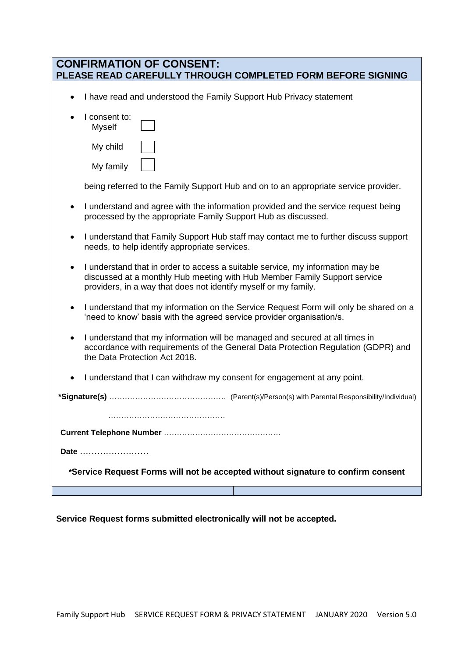| <b>CONFIRMATION OF CONSENT:</b><br>PLEASE READ CAREFULLY THROUGH COMPLETED FORM BEFORE SIGNING                                                                                                                                 |
|--------------------------------------------------------------------------------------------------------------------------------------------------------------------------------------------------------------------------------|
| I have read and understood the Family Support Hub Privacy statement<br>$\bullet$                                                                                                                                               |
| I consent to:<br><b>Myself</b>                                                                                                                                                                                                 |
| My child                                                                                                                                                                                                                       |
| My family                                                                                                                                                                                                                      |
| being referred to the Family Support Hub and on to an appropriate service provider.                                                                                                                                            |
| I understand and agree with the information provided and the service request being<br>processed by the appropriate Family Support Hub as discussed.                                                                            |
| I understand that Family Support Hub staff may contact me to further discuss support<br>needs, to help identify appropriate services.                                                                                          |
| I understand that in order to access a suitable service, my information may be<br>discussed at a monthly Hub meeting with Hub Member Family Support service<br>providers, in a way that does not identify myself or my family. |
| I understand that my information on the Service Request Form will only be shared on a<br>'need to know' basis with the agreed service provider organisation/s.                                                                 |
| I understand that my information will be managed and secured at all times in<br>$\bullet$<br>accordance with requirements of the General Data Protection Regulation (GDPR) and<br>the Data Protection Act 2018.                |
| I understand that I can withdraw my consent for engagement at any point.                                                                                                                                                       |
|                                                                                                                                                                                                                                |
|                                                                                                                                                                                                                                |
|                                                                                                                                                                                                                                |
| Date                                                                                                                                                                                                                           |
| *Service Request Forms will not be accepted without signature to confirm consent                                                                                                                                               |
|                                                                                                                                                                                                                                |

**Service Request forms submitted electronically will not be accepted.**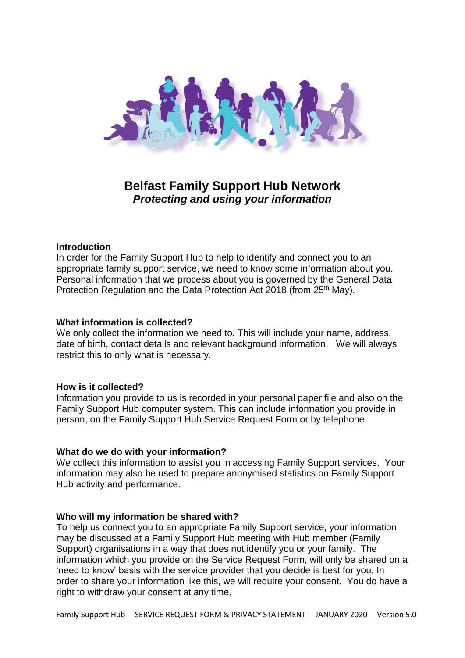

# **Belfast Family Support Hub Network**  *Protecting and using your information*

### **Introduction**

In order for the Family Support Hub to help to identify and connect you to an appropriate family support service, we need to know some information about you. Personal information that we process about you is governed by the General Data Protection Regulation and the Data Protection Act 2018 (from 25<sup>th</sup> May).

### **What information is collected?**

We only collect the information we need to. This will include your name, address, date of birth, contact details and relevant background information. We will always restrict this to only what is necessary.

### **How is it collected?**

Information you provide to us is recorded in your personal paper file and also on the Family Support Hub computer system. This can include information you provide in person, on the Family Support Hub Service Request Form or by telephone.

### **What do we do with your information?**

We collect this information to assist you in accessing Family Support services. Your information may also be used to prepare anonymised statistics on Family Support Hub activity and performance.

#### **Who will my information be shared with?**

To help us connect you to an appropriate Family Support service, your information may be discussed at a Family Support Hub meeting with Hub member (Family Support) organisations in a way that does not identify you or your family. The information which you provide on the Service Request Form, will only be shared on a 'need to know' basis with the service provider that you decide is best for you. In order to share your information like this, we will require your consent. You do have a right to withdraw your consent at any time.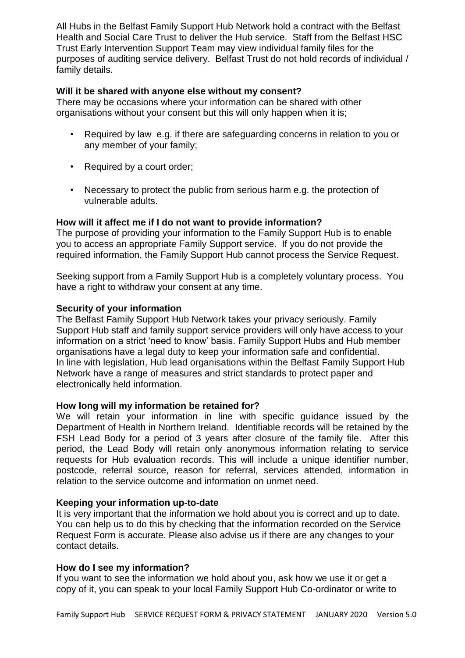All Hubs in the Belfast Family Support Hub Network hold a contract with the Belfast Health and Social Care Trust to deliver the Hub service. Staff from the Belfast HSC Trust Early Intervention Support Team may view individual family files for the purposes of auditing service delivery. Belfast Trust do not hold records of individual / family details.

# **Will it be shared with anyone else without my consent?**

There may be occasions where your information can be shared with other organisations without your consent but this will only happen when it is;

- Required by law e.g. if there are safeguarding concerns in relation to you or any member of your family;
- Required by a court order;
- Necessary to protect the public from serious harm e.g. the protection of vulnerable adults.

# **How will it affect me if I do not want to provide information?**

The purpose of providing your information to the Family Support Hub is to enable you to access an appropriate Family Support service. If you do not provide the required information, the Family Support Hub cannot process the Service Request.

Seeking support from a Family Support Hub is a completely voluntary process. You have a right to withdraw your consent at any time.

# **Security of your information**

The Belfast Family Support Hub Network takes your privacy seriously. Family Support Hub staff and family support service providers will only have access to your information on a strict 'need to know' basis. Family Support Hubs and Hub member organisations have a legal duty to keep your information safe and confidential. In line with legislation, Hub lead organisations within the Belfast Family Support Hub Network have a range of measures and strict standards to protect paper and electronically held information.

# **How long will my information be retained for?**

We will retain your information in line with specific quidance issued by the Department of Health in Northern Ireland. Identifiable records will be retained by the FSH Lead Body for a period of 3 years after closure of the family file. After this period, the Lead Body will retain only anonymous information relating to service requests for Hub evaluation records. This will include a unique identifier number, postcode, referral source, reason for referral, services attended, information in relation to the service outcome and information on unmet need.

# **Keeping your information up-to-date**

It is very important that the information we hold about you is correct and up to date. You can help us to do this by checking that the information recorded on the Service Request Form is accurate. Please also advise us if there are any changes to your contact details.

# **How do I see my information?**

If you want to see the information we hold about you, ask how we use it or get a copy of it, you can speak to your local Family Support Hub Co-ordinator or write to